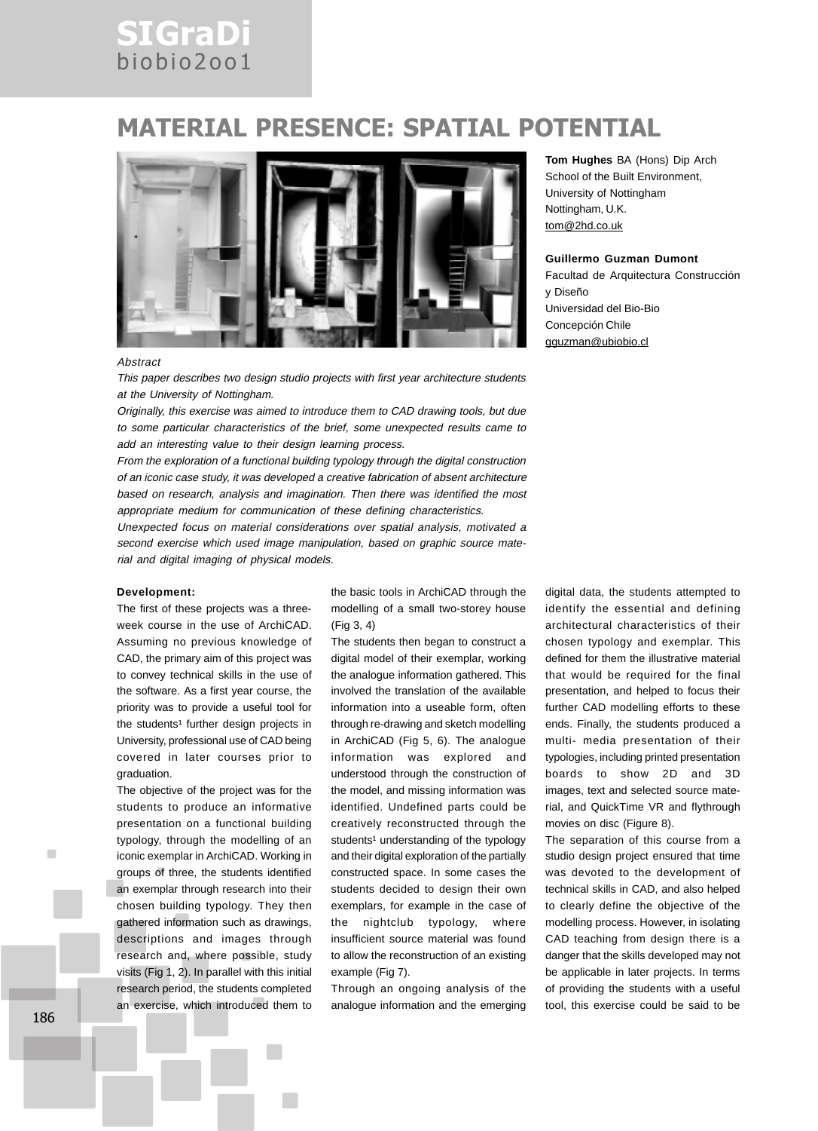## SIGraDi biobio2oo1

### MATERIAL PRESENCE: SPATIAL POTENTIAL



#### **Abstract**

This paper describes two design studio projects with first year architecture students at the University of Nottingham.

Originally, this exercise was aimed to introduce them to CAD drawing tools, but due to some particular characteristics of the brief, some unexpected results came to add an interesting value to their design learning process.

From the exploration of a functional building typology through the digital construction of an iconic case study, it was developed a creative fabrication of absent architecture based on research, analysis and imagination. Then there was identified the most appropriate medium for communication of these defining characteristics.

Unexpected focus on material considerations over spatial analysis, motivated a second exercise which used image manipulation, based on graphic source material and digital imaging of physical models.

#### **Development:**

The first of these projects was a threeweek course in the use of ArchiCAD. Assuming no previous knowledge of CAD, the primary aim of this project was to convey technical skills in the use of the software. As a first year course, the priority was to provide a useful tool for the students<sup>1</sup> further design projects in University, professional use of CAD being covered in later courses prior to graduation.

The objective of the project was for the students to produce an informative presentation on a functional building typology, through the modelling of an iconic exemplar in ArchiCAD. Working in groups of three, the students identified an exemplar through research into their chosen building typology. They then gathered information such as drawings, descriptions and images through research and, where possible, study visits (Fig 1, 2). In parallel with this initial research period, the students completed an exercise, which introduced them to the basic tools in ArchiCAD through the modelling of a small two-storey house (Fig 3, 4)

The students then began to construct a digital model of their exemplar, working the analogue information gathered. This involved the translation of the available information into a useable form, often through re-drawing and sketch modelling in ArchiCAD (Fig 5, 6). The analogue information was explored and understood through the construction of the model, and missing information was identified. Undefined parts could be creatively reconstructed through the students<sup>1</sup> understanding of the typology and their digital exploration of the partially constructed space. In some cases the students decided to design their own exemplars, for example in the case of the nightclub typology, where insufficient source material was found to allow the reconstruction of an existing example (Fig 7).

Through an ongoing analysis of the analogue information and the emerging

**Tom Hughes** BA (Hons) Dip Arch School of the Built Environment, University of Nottingham Nottingham, U.K. tom@2hd.co.uk

#### **Guillermo Guzman Dumont**

Facultad de Arquitectura Construcción y Diseño Universidad del Bio-Bio Concepción Chile gguzman@ubiobio.cl

digital data, the students attempted to identify the essential and defining architectural characteristics of their chosen typology and exemplar. This defined for them the illustrative material that would be required for the final presentation, and helped to focus their further CAD modelling efforts to these ends. Finally, the students produced a multi- media presentation of their typologies, including printed presentation boards to show 2D and 3D images, text and selected source material, and QuickTime VR and flythrough movies on disc (Figure 8).

The separation of this course from a studio design project ensured that time was devoted to the development of technical skills in CAD, and also helped to clearly define the objective of the modelling process. However, in isolating CAD teaching from design there is a danger that the skills developed may not be applicable in later projects. In terms of providing the students with a useful tool, this exercise could be said to be

п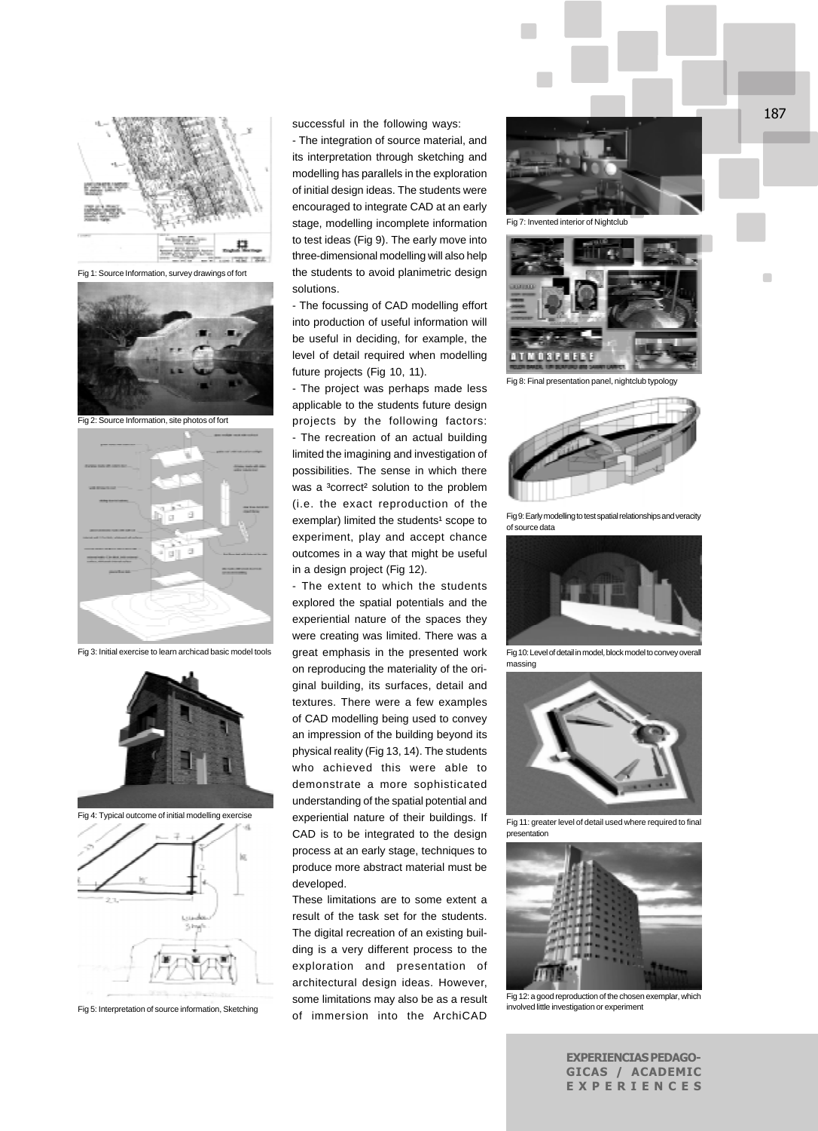

Fig 1: Source Information, survey drawings of fort



Fig 2: Source Information, site photos of fort



Fig 3: Initial exercise to learn archicad basic model tools





Fig 5: Interpretation of source information, Sketching

successful in the following ways:

- The integration of source material, and its interpretation through sketching and modelling has parallels in the exploration of initial design ideas. The students were encouraged to integrate CAD at an early stage, modelling incomplete information to test ideas (Fig 9). The early move into three-dimensional modelling will also help the students to avoid planimetric design solutions.

- The focussing of CAD modelling effort into production of useful information will be useful in deciding, for example, the level of detail required when modelling future projects (Fig 10, 11).

- The project was perhaps made less applicable to the students future design projects by the following factors: - The recreation of an actual building limited the imagining and investigation of possibilities. The sense in which there was a <sup>3</sup>correct<sup>2</sup> solution to the problem (i.e. the exact reproduction of the exemplar) limited the students<sup>1</sup> scope to experiment, play and accept chance outcomes in a way that might be useful in a design project (Fig 12).

- The extent to which the students explored the spatial potentials and the experiential nature of the spaces they were creating was limited. There was a great emphasis in the presented work on reproducing the materiality of the original building, its surfaces, detail and textures. There were a few examples of CAD modelling being used to convey an impression of the building beyond its physical reality (Fig 13, 14). The students who achieved this were able to demonstrate a more sophisticated understanding of the spatial potential and experiential nature of their buildings. If CAD is to be integrated to the design process at an early stage, techniques to produce more abstract material must be developed.

These limitations are to some extent a result of the task set for the students. The digital recreation of an existing building is a very different process to the exploration and presentation of architectural design ideas. However, some limitations may also be as a result of immersion into the ArchiCAD



Fig 7: Invented interior of Nightclub



Fig 8: Final presentation panel, nightclub typology



Fig 9: Early modelling to test spatial relationships and veracity of source data



Fig 10: Level of detail in model, block model to convey overal massing



Fig 11: greater level of detail used where required to final presentation



involved little investigation or experiment

EXPERIENCIAS PEDAGO-GICAS / ACADEMIC EXPERIENCES

 $\blacksquare$